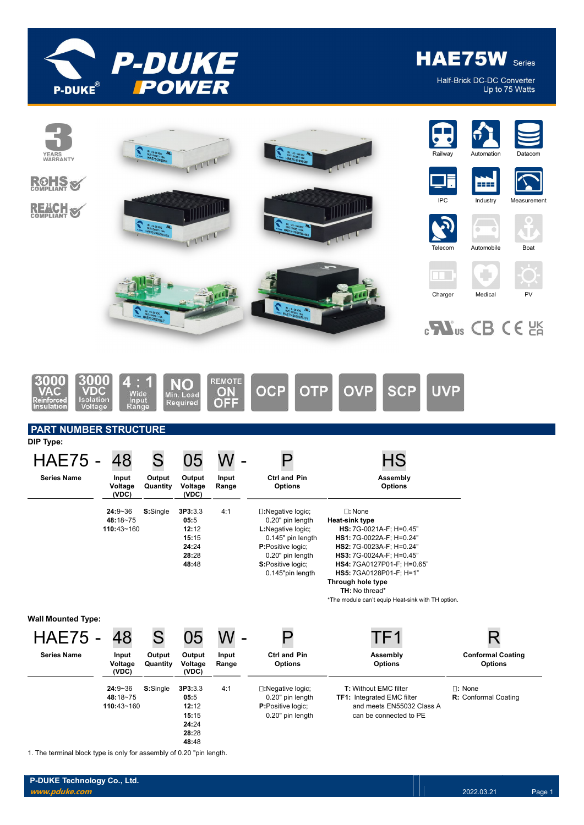

HAE75W Series

Half-Brick DC-DC Converter Up to 75 Watts



1. The terminal block type is only for assembly of 0.20 "pin length.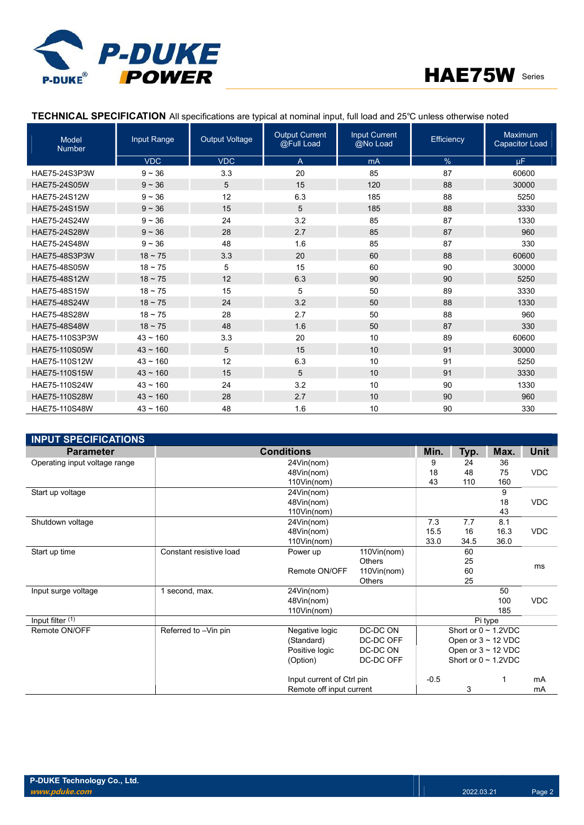



# TECHNICAL SPECIFICATION All specifications are typical at nominal input, full load and 25℃ unless otherwise noted

| <b>Model</b><br><b>Number</b> | Input Range   | <b>Output Voltage</b> | <b>Output Current</b><br>@Full Load | <b>Input Current</b><br>@No Load | Efficiency    | Maximum<br><b>Capacitor Load</b> |
|-------------------------------|---------------|-----------------------|-------------------------------------|----------------------------------|---------------|----------------------------------|
|                               | <b>VDC</b>    | <b>VDC</b>            | $\overline{A}$                      | mA                               | $\frac{9}{6}$ | uF.                              |
| HAE75-24S3P3W                 | $9 - 36$      | 3.3                   | 20                                  | 85                               | 87            | 60600                            |
| HAE75-24S05W                  | $9 - 36$      | 5                     | 15                                  | 120                              | 88            | 30000                            |
| HAE75-24S12W                  | $9 - 36$      | 12                    | 6.3                                 | 185                              | 88            | 5250                             |
| HAE75-24S15W                  | $9 - 36$      | 15                    | 5                                   | 185                              | 88            | 3330                             |
| HAE75-24S24W                  | $9 - 36$      | 24                    | 3.2                                 | 85                               | 87            | 1330                             |
| HAE75-24S28W                  | $9 - 36$      | 28                    | 2.7                                 | 85                               | 87            | 960                              |
| HAE75-24S48W                  | $9 - 36$      | 48                    | 1.6                                 | 85                               | 87            | 330                              |
| HAE75-48S3P3W                 | $18 \sim 75$  | 3.3                   | 20                                  | 60                               | 88            | 60600                            |
| HAE75-48S05W                  | $18 - 75$     | 5                     | 15                                  | 60                               | 90            | 30000                            |
| HAE75-48S12W                  | $18 \sim 75$  | 12                    | 6.3                                 | 90                               | 90            | 5250                             |
| HAE75-48S15W                  | $18 - 75$     | 15                    | 5                                   | 50                               | 89            | 3330                             |
| <b>HAE75-48S24W</b>           | $18 \sim 75$  | 24                    | 3.2                                 | 50                               | 88            | 1330                             |
| HAE75-48S28W                  | $18 \sim 75$  | 28                    | 2.7                                 | 50                               | 88            | 960                              |
| <b>HAE75-48S48W</b>           | $18 \sim 75$  | 48                    | 1.6                                 | 50                               | 87            | 330                              |
| HAE75-110S3P3W                | $43 - 160$    | 3.3                   | 20                                  | 10                               | 89            | 60600                            |
| HAE75-110S05W                 | $43 \sim 160$ | 5                     | 15                                  | 10                               | 91            | 30000                            |
| HAE75-110S12W                 | $43 - 160$    | 12                    | 6.3                                 | 10                               | 91            | 5250                             |
| HAE75-110S15W                 | $43 \sim 160$ | 15                    | 5                                   | 10                               | 91            | 3330                             |
| HAE75-110S24W                 | $43 - 160$    | 24                    | 3.2                                 | 10                               | 90            | 1330                             |
| HAE75-110S28W                 | $43 - 160$    | 28                    | 2.7                                 | 10                               | 90            | 960                              |
| HAE75-110S48W                 | $43 \sim 160$ | 48                    | 1.6                                 | 10                               | 90            | 330                              |

| <b>INPUT SPECIFICATIONS</b>   |                         |                           |                          |        |      |                           |            |
|-------------------------------|-------------------------|---------------------------|--------------------------|--------|------|---------------------------|------------|
| <b>Parameter</b>              |                         | <b>Conditions</b>         |                          | Min.   | Typ. | Max.                      | Unit       |
| Operating input voltage range |                         | 24Vin(nom)                |                          | 9      | 24   | 36                        |            |
|                               |                         | 48Vin(nom)                |                          | 18     | 48   | 75                        | <b>VDC</b> |
|                               |                         | 110Vin(nom)               |                          | 43     | 110  | 160                       |            |
| Start up voltage              |                         | 24Vin(nom)                |                          |        |      | 9                         |            |
|                               |                         | 48Vin(nom)                |                          |        |      | 18                        | <b>VDC</b> |
|                               |                         | 110Vin(nom)               |                          |        |      | 43                        |            |
| Shutdown voltage              |                         | 24Vin(nom)                |                          | 7.3    | 7.7  | 8.1                       |            |
|                               |                         | 48Vin(nom)                |                          | 15.5   | 16   | 16.3                      | <b>VDC</b> |
|                               |                         | 110Vin(nom)               |                          | 33.0   | 34.5 | 36.0                      |            |
| Start up time                 | Constant resistive load | Power up                  | 110Vin(nom)              |        | 60   |                           |            |
|                               |                         |                           | <b>Others</b>            |        | 25   |                           | ms         |
|                               |                         | Remote ON/OFF             | 110Vin(nom)              |        | 60   |                           |            |
|                               |                         |                           | <b>Others</b>            |        | 25   |                           |            |
| Input surge voltage           | 1 second, max.          | 24Vin(nom)                |                          |        |      | 50                        |            |
|                               |                         | 48Vin(nom)                |                          |        |      | 100                       | <b>VDC</b> |
|                               |                         | 110Vin(nom)               |                          |        |      | 185                       |            |
| Input filter (1)              |                         |                           |                          |        |      | Pi type                   |            |
| Remote ON/OFF                 | Referred to -Vin pin    | Negative logic            | DC-DC ON                 |        |      | Short or $0 \sim 1.2$ VDC |            |
|                               |                         | (Standard)                | DC-DC OFF                |        |      | Open or $3 \sim 12$ VDC   |            |
|                               |                         | Positive logic            | DC-DC ON                 |        |      | Open or $3 \sim 12$ VDC   |            |
|                               |                         | (Option)                  | DC-DC OFF                |        |      | Short or $0 \sim 1.2$ VDC |            |
|                               |                         | Input current of Ctrl pin |                          | $-0.5$ |      |                           | mA         |
|                               |                         |                           | Remote off input current |        |      |                           | mA         |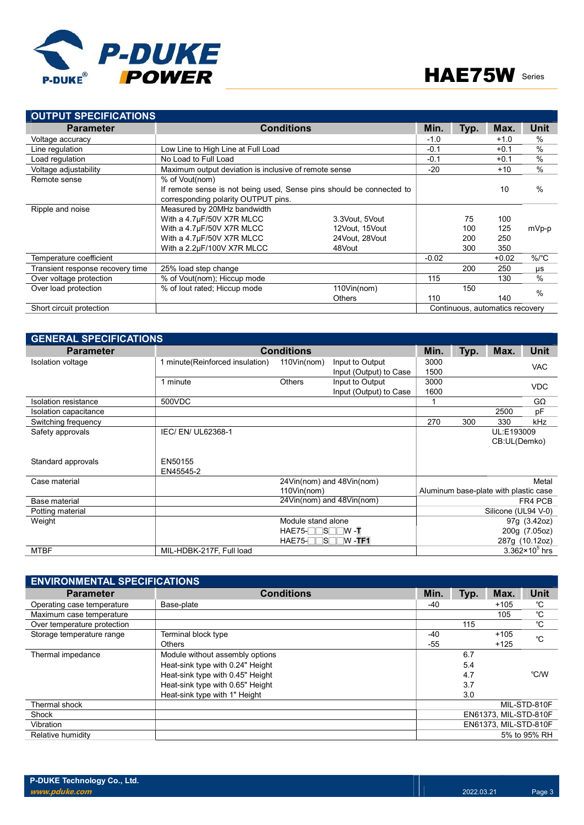



| <b>OUTPUT SPECIFICATIONS</b>     |                                                                      |                  |         |      |                                 |          |
|----------------------------------|----------------------------------------------------------------------|------------------|---------|------|---------------------------------|----------|
| <b>Parameter</b>                 | <b>Conditions</b>                                                    | Min.             | Typ.    | Max. | <b>Unit</b>                     |          |
| Voltage accuracy                 |                                                                      |                  | $-1.0$  |      | $+1.0$                          | $\%$     |
| Line regulation                  | Low Line to High Line at Full Load                                   |                  | $-0.1$  |      | $+0.1$                          | %        |
| Load regulation                  | No Load to Full Load                                                 |                  | $-0.1$  |      | $+0.1$                          | %        |
| Voltage adjustability            | Maximum output deviation is inclusive of remote sense                |                  | $-20$   |      | $+10$                           | $\%$     |
| Remote sense                     | % of Vout(nom)                                                       |                  |         |      |                                 |          |
|                                  | If remote sense is not being used, Sense pins should be connected to |                  |         |      | 10                              | $\%$     |
|                                  | corresponding polarity OUTPUT pins.                                  |                  |         |      |                                 |          |
| Ripple and noise                 | Measured by 20MHz bandwidth                                          |                  |         |      |                                 |          |
|                                  | With a 4.7µF/50V X7R MLCC                                            | 3.3Vout, 5Vout   |         | 75   | 100                             |          |
|                                  | With a 4.7µF/50V X7R MLCC                                            | 12Vout, 15Vout   |         | 100  | 125                             | mVp-p    |
|                                  | With a 4.7µF/50V X7R MLCC                                            | 24 Vout, 28 Vout |         | 200  | 250                             |          |
|                                  | With a 2.2µF/100V X7R MLCC                                           | 48Vout           |         | 300  | 350                             |          |
| Temperature coefficient          |                                                                      |                  | $-0.02$ |      | $+0.02$                         | $\%$ /°C |
| Transient response recovery time | 25% load step change                                                 |                  |         | 200  | 250                             | μs       |
| Over voltage protection          | % of Vout(nom); Hiccup mode                                          |                  | 115     |      | 130                             | %        |
| Over load protection             | % of lout rated; Hiccup mode                                         | 110Vin(nom)      |         | 150  |                                 | $\%$     |
|                                  |                                                                      | <b>Others</b>    | 110     |      | 140                             |          |
| Short circuit protection         |                                                                      |                  |         |      | Continuous, automatics recovery |          |

| <b>GENERAL SPECIFICATIONS</b> |                                 |                    |                           |      |      |                                       |                         |  |
|-------------------------------|---------------------------------|--------------------|---------------------------|------|------|---------------------------------------|-------------------------|--|
| <b>Parameter</b>              |                                 | <b>Conditions</b>  |                           | Min. | Typ. | Max.                                  | Unit                    |  |
| Isolation voltage             | 1 minute(Reinforced insulation) | 110Vin(nom)        | Input to Output           | 3000 |      |                                       | <b>VAC</b>              |  |
|                               |                                 |                    | Input (Output) to Case    | 1500 |      |                                       |                         |  |
|                               | 1 minute                        | <b>Others</b>      | Input to Output           | 3000 |      |                                       | <b>VDC</b>              |  |
|                               |                                 |                    | Input (Output) to Case    | 1600 |      |                                       |                         |  |
| <b>Isolation resistance</b>   | 500VDC                          |                    |                           |      |      |                                       | GΩ                      |  |
| Isolation capacitance         |                                 |                    |                           |      |      | 2500                                  | pF                      |  |
| Switching frequency           |                                 |                    |                           | 270  | 300  | 330                                   | kHz                     |  |
| Safety approvals              | IEC/ EN/ UL62368-1              |                    |                           |      |      | UL:E193009                            |                         |  |
|                               |                                 |                    |                           |      |      | CB:UL(Demko)                          |                         |  |
|                               |                                 |                    |                           |      |      |                                       |                         |  |
| Standard approvals            | EN50155                         |                    |                           |      |      |                                       |                         |  |
|                               | EN45545-2                       |                    |                           |      |      |                                       |                         |  |
| Case material                 |                                 |                    | 24Vin(nom) and 48Vin(nom) |      |      |                                       | Metal                   |  |
|                               |                                 | 110Vin(nom)        |                           |      |      | Aluminum base-plate with plastic case |                         |  |
| Base material                 |                                 |                    | 24Vin(nom) and 48Vin(nom) |      |      |                                       | FR4 PCB                 |  |
| Potting material              |                                 |                    |                           |      |      | Silicone (UL94 V-0)                   |                         |  |
| Weight                        |                                 | Module stand alone |                           |      |      |                                       | 97g (3.42oz)            |  |
|                               |                                 | $HAE75-TSTW-T$     |                           |      |      |                                       | 200g (7.05oz)           |  |
|                               |                                 | $HAE75-TSTW-TF1$   |                           |      |      |                                       | 287g (10.12oz)          |  |
| <b>MTBF</b>                   | MIL-HDBK-217F, Full load        |                    |                           |      |      |                                       | $3.362 \times 10^5$ hrs |  |

| <b>ENVIRONMENTAL SPECIFICATIONS</b> |                                  |       |      |                       |              |  |  |  |  |
|-------------------------------------|----------------------------------|-------|------|-----------------------|--------------|--|--|--|--|
| <b>Parameter</b>                    | <b>Conditions</b>                | Min.  | Typ. | Max.                  | Unit         |  |  |  |  |
| Operating case temperature          | Base-plate                       | -40   |      | $+105$                | °C           |  |  |  |  |
| Maximum case temperature            |                                  |       |      | 105                   | °C           |  |  |  |  |
| Over temperature protection         |                                  |       | 115  |                       | °C           |  |  |  |  |
| Storage temperature range           | Terminal block type              | $-40$ |      | $+105$                | $^{\circ}C$  |  |  |  |  |
|                                     | <b>Others</b>                    | $-55$ |      | $+125$                |              |  |  |  |  |
| Thermal impedance                   | Module without assembly options  |       | 6.7  |                       |              |  |  |  |  |
|                                     | Heat-sink type with 0.24" Height |       | 5.4  |                       |              |  |  |  |  |
|                                     | Heat-sink type with 0.45" Height |       | 4.7  |                       | °C/W         |  |  |  |  |
|                                     | Heat-sink type with 0.65" Height |       | 3.7  |                       |              |  |  |  |  |
|                                     | Heat-sink type with 1" Height    |       | 3.0  |                       |              |  |  |  |  |
| Thermal shock                       |                                  |       |      |                       | MIL-STD-810F |  |  |  |  |
| Shock                               |                                  |       |      | EN61373, MIL-STD-810F |              |  |  |  |  |
| Vibration                           |                                  |       |      | EN61373, MIL-STD-810F |              |  |  |  |  |
| Relative humidity                   |                                  |       |      |                       | 5% to 95% RH |  |  |  |  |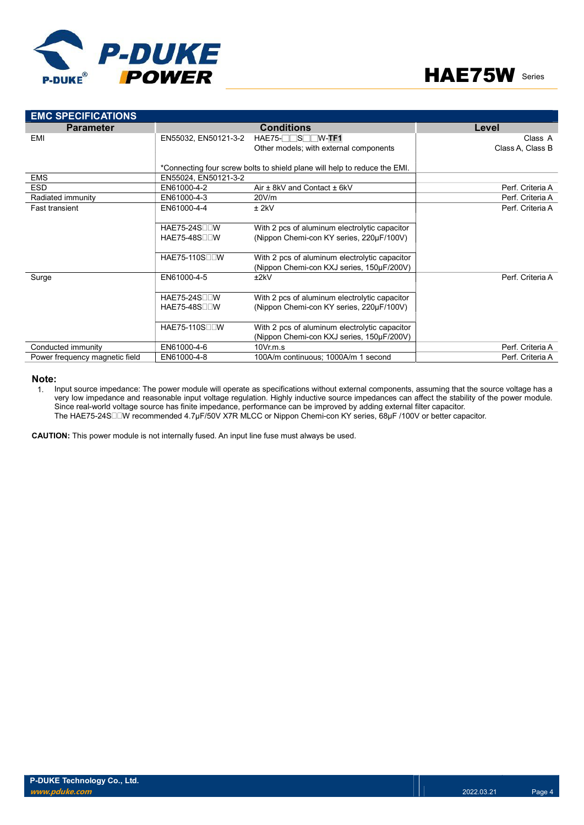



| <b>EMC SPECIFICATIONS</b>      |                                  |                                                                           |                  |
|--------------------------------|----------------------------------|---------------------------------------------------------------------------|------------------|
| <b>Parameter</b>               |                                  | <b>Conditions</b>                                                         | Level            |
| EMI                            | EN55032, EN50121-3-2             | $HAE75-$ S W-TF1                                                          | Class A          |
|                                |                                  | Other models; with external components                                    | Class A, Class B |
|                                |                                  |                                                                           |                  |
|                                |                                  | *Connecting four screw bolts to shield plane will help to reduce the EMI. |                  |
| <b>EMS</b>                     | EN55024, EN50121-3-2             |                                                                           |                  |
| <b>ESD</b>                     | EN61000-4-2                      | Air $\pm$ 8kV and Contact $\pm$ 6kV                                       | Perf. Criteria A |
| Radiated immunity              | EN61000-4-3                      | 20V/m                                                                     | Perf. Criteria A |
| <b>Fast transient</b>          | EN61000-4-4                      | $±$ 2kV                                                                   | Perf. Criteria A |
|                                |                                  |                                                                           |                  |
|                                | <b>HAE75-24S</b> <sub>II</sub> W | With 2 pcs of aluminum electrolytic capacitor                             |                  |
|                                | <b>HAE75-48S</b> <sub>II</sub> W | (Nippon Chemi-con KY series, 220µF/100V)                                  |                  |
|                                |                                  |                                                                           |                  |
|                                | HAE75-110SOOW                    | With 2 pcs of aluminum electrolytic capacitor                             |                  |
|                                |                                  | (Nippon Chemi-con KXJ series, 150µF/200V)                                 |                  |
| Surge                          | EN61000-4-5                      | ±2kV                                                                      | Perf. Criteria A |
|                                |                                  |                                                                           |                  |
|                                | <b>HAE75-24S</b>                 | With 2 pcs of aluminum electrolytic capacitor                             |                  |
|                                | $HAE75-48S$                      | (Nippon Chemi-con KY series, 220µF/100V)                                  |                  |
|                                |                                  |                                                                           |                  |
|                                | HAE75-110S <sub>II</sub> W       | With 2 pcs of aluminum electrolytic capacitor                             |                  |
|                                |                                  | (Nippon Chemi-con KXJ series, 150µF/200V)                                 |                  |
| Conducted immunity             | EN61000-4-6                      | $10V$ r.m.s                                                               | Perf. Criteria A |
| Power frequency magnetic field | EN61000-4-8                      | 100A/m continuous; 1000A/m 1 second                                       | Perf. Criteria A |

#### Note:

1. Input source impedance: The power module will operate as specifications without external components, assuming that the source voltage has a very low impedance and reasonable input voltage regulation. Highly inductive source impedances can affect the stability of the power module. Since real-world voltage source has finite impedance, performance can be improved by adding external filter capacitor. The HAE75-24S□□W recommended 4.7μF/50V X7R MLCC or Nippon Chemi-con KY series, 68μF /100V or better capacitor.

CAUTION: This power module is not internally fused. An input line fuse must always be used.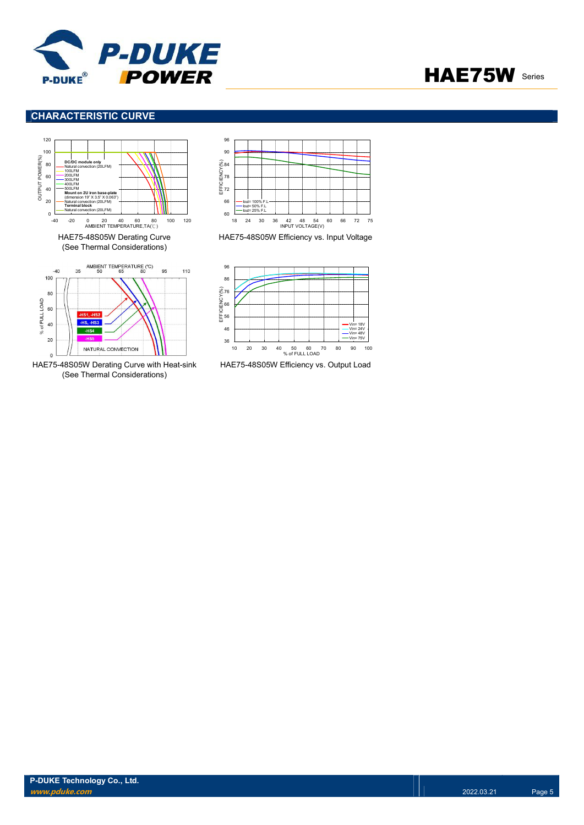



# CHARACTERISTIC CURVE



 $\overline{0}$ HAE75-48S05W Derating Curve with Heat-sink (See Thermal Considerations)

NATURAL CONVECTION

 $20$ 



HAE75-48S05W Efficiency vs. Input Voltage



HAE75-48S05W Efficiency vs. Output Load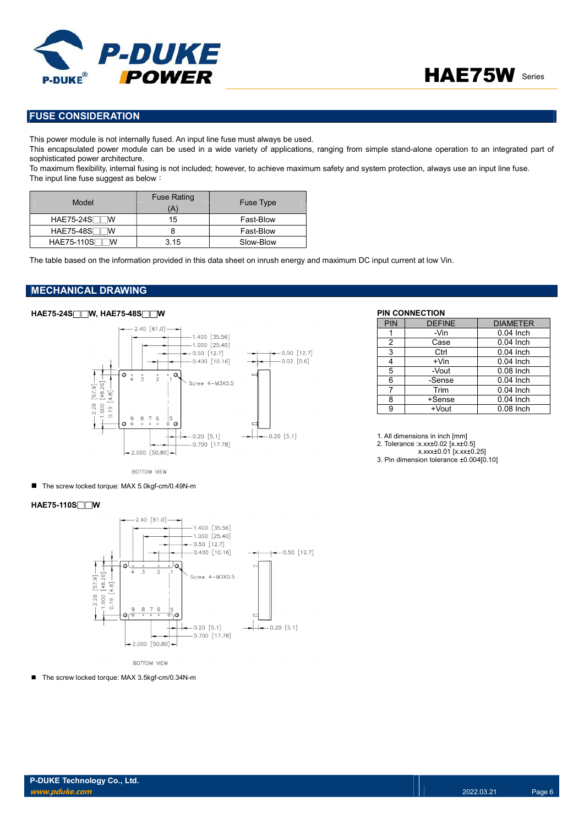



# FUSE CONSIDERATION

This power module is not internally fused. An input line fuse must always be used.

This encapsulated power module can be used in a wide variety of applications, ranging from simple stand-alone operation to an integrated part of sophisticated power architecture.

To maximum flexibility, internal fusing is not included; however, to achieve maximum safety and system protection, always use an input line fuse. The input line fuse suggest as below:

| Model            | <b>Fuse Rating</b><br>(A' | <b>Fuse Type</b> |
|------------------|---------------------------|------------------|
| $HAE75-24S$<br>W | 15                        | Fast-Blow        |
| <b>HAE75-48S</b> |                           | Fast-Blow        |
| HAE75-110S<br>M  | 3.15                      | Slow-Blow        |

The table based on the information provided in this data sheet on inrush energy and maximum DC input current at low Vin.

## MECHANICAL DRAWING

# HAE75-24S□□W, HAE75-48S□□W PIN CONNECTION



| PIN | <b>DEFINE</b> | <b>DIAMETER</b> |
|-----|---------------|-----------------|
|     | -Vin          | $0.04$ Inch     |
| 2   | Case          | $0.04$ Inch     |
| 3   | Ctrl          | $0.04$ Inch     |
| 4   | $+V$ in       | $0.04$ Inch     |
| 5   | -Vout         | $0.08$ Inch     |
| 6   | -Sense        | $0.04$ Inch     |
| 7   | Trim          | $0.04$ Inch     |
| 8   | +Sense        | $0.04$ Inch     |
| 9   | +Vout         | $0.08$ Inch     |

1. All dimensions in inch [mm]

2. Tolerance :x.xx±0.02 [x.x±0.5]

x.xxx±0.01 [x.xx±0.25]

3. Pin dimension tolerance ±0.004[0.10]

BOTTOM VIEW

■ The screw locked torque: MAX 5.0kgf-cm/0.49N-m

### HAE75-110S□□W



**BOTTOM VIEW** 

■ The screw locked torque: MAX 3.5kgf-cm/0.34N-m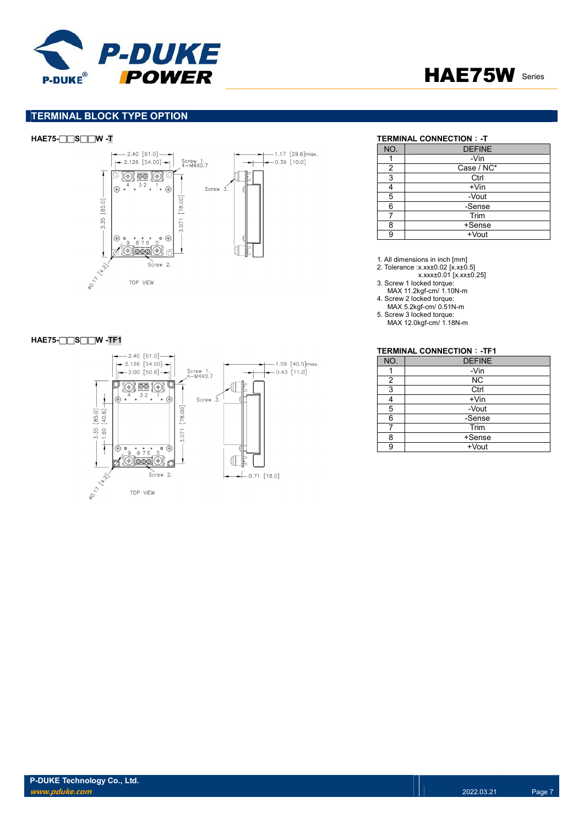



# TERMINAL BLOCK TYPE OPTION



### HAE75-□□S□□W -TF1



# HAE75-□□S□□W -T TERMINAL CONNECTION: -T

| NO. | <b>DEFINE</b> |
|-----|---------------|
|     | -Vin          |
| 2   | Case / NC*    |
| 3   | Ctrl          |
|     | $+V$ in       |
| 5   | -Vout         |
| 6   | -Sense        |
|     | Trim          |
| 8   | +Sense        |
|     | +Vout         |

1. All dimensions in inch [mm]

- 2. Tolerance :x.xx±0.02 [x.x±0.5]
- x.xxx±0.01 [x.xx±0.25]
- 3. Screw 1 locked torque: MAX 11.2kgf-cm/ 1.10N-m
- 4. Screw 2 locked torque:
- MAX 5.2kgf-cm/ 0.51N-m 5. Screw 3 locked torque:
- MAX 12.0kgf-cm/ 1.18N-m

### TERMINAL CONNECTION:-TF1

| NO. | <b>DEFINE</b> |
|-----|---------------|
|     | -Vin          |
| 2   | <b>NC</b>     |
| 3   | Ctrl          |
|     | $+V$ in       |
| 5   | -Vout         |
| հ   | -Sense        |
|     | Trim          |
| я   | +Sense        |
|     | +Vout         |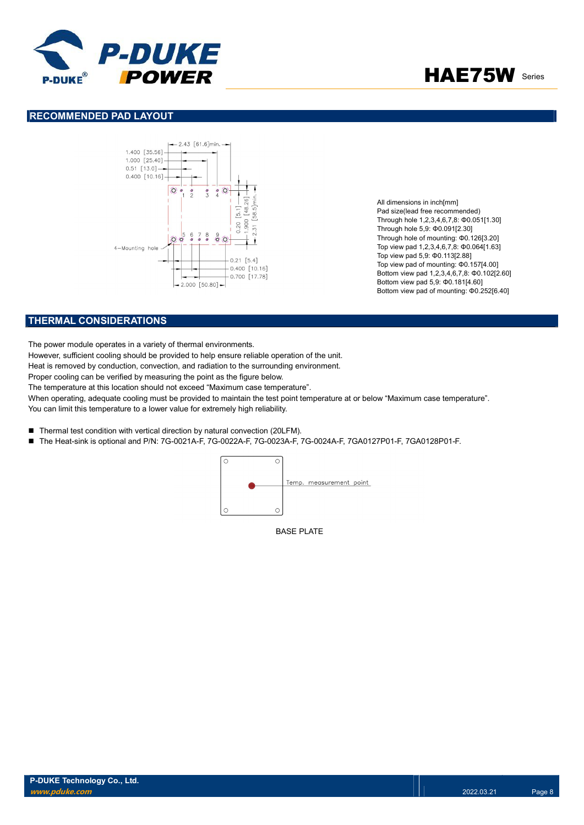



# RECOMMENDED PAD LAYOUT



All dimensions in inch[mm] Pad size(lead free recommended) Through hole 1,2,3,4,6,7,8: Φ0.051[1.30] Through hole 5,9: Φ0.091[2.30] Through hole of mounting: Φ0.126[3.20] Top view pad 1,2,3,4,6,7,8: Φ0.064[1.63] Top view pad 5,9: Φ0.113[2.88] Top view pad of mounting: Φ0.157[4.00] Bottom view pad 1,2,3,4,6,7,8: Φ0.102[2.60] Bottom view pad 5,9: Φ0.181[4.60] Bottom view pad of mounting: Φ0.252[6.40]

# THERMAL CONSIDERATIONS

The power module operates in a variety of thermal environments.

However, sufficient cooling should be provided to help ensure reliable operation of the unit.

Heat is removed by conduction, convection, and radiation to the surrounding environment.

Proper cooling can be verified by measuring the point as the figure below.

The temperature at this location should not exceed "Maximum case temperature".

When operating, adequate cooling must be provided to maintain the test point temperature at or below "Maximum case temperature". You can limit this temperature to a lower value for extremely high reliability.

- Thermal test condition with vertical direction by natural convection (20LFM).
- The Heat-sink is optional and P/N: 7G-0021A-F, 7G-0022A-F, 7G-0023A-F, 7G-0024A-F, 7GA0127P01-F, 7GA0128P01-F.



BASE PLATE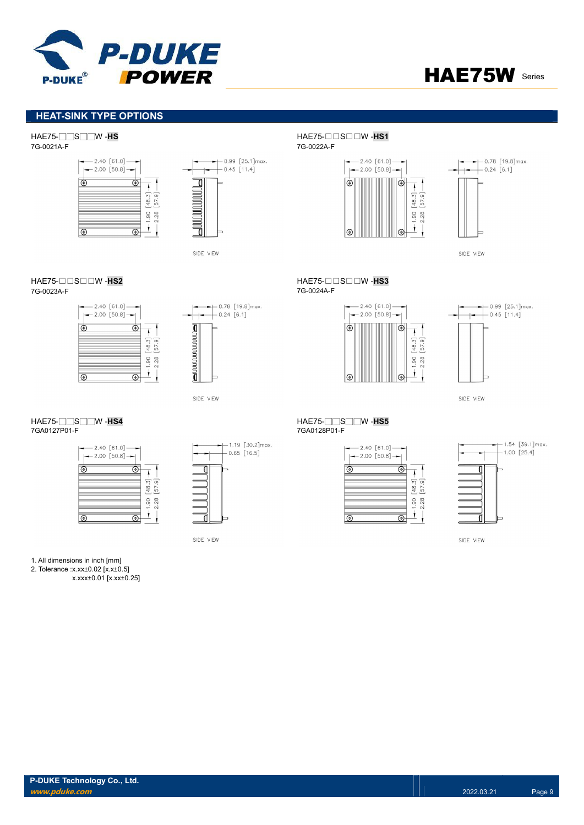



# HEAT-SINK TYPE OPTIONS

# HAE75-□□S□□W -HS<br>7G-0021A-F HAE75-□□S□□W -HS1<br>7G-0021A-F



 $-$  - 0.99 [25.1] max.<br>  $-$  0.45 [11.4]  $\overline{\mathbb{I}}$ **MANA** 7 SIDE VIEW

#### HAE75-□□S□□W -HS2 HAE75-□□S□□W -HS3 7G-0023A-F 7G-0024A-F





SIDE VIEW

#### HAE75-□□S□□W -HS4 HAE75-□□S□□W -HS5 7GA0127P01-F 7GA0128P01-F





SIDE VIEW

#### 1. All dimensions in inch [mm]

2. Tolerance :x.xx±0.02 [x.x±0.5]

x.xxx±0.01 [x.xx±0.25]

7G-0021A-F 7G-0022A-F



 $-2.40$  [61.0]  $-$ 

 $\Theta$ 

 $^{\circ}$ 

 $[48.3] -$ 

 $-1.90$  [

 $\mathbf{I}$ 

 $\leftarrow$  2.00 [50.8]  $\rightarrow$ 



SIDE VIEW



SIDE VIEW

 $\circledcirc$ 

 $\overline{\circ}$ 



 $+1.54$  [39.1]max.  $+ 1.00 [25.4]$ 

SIDE VIEW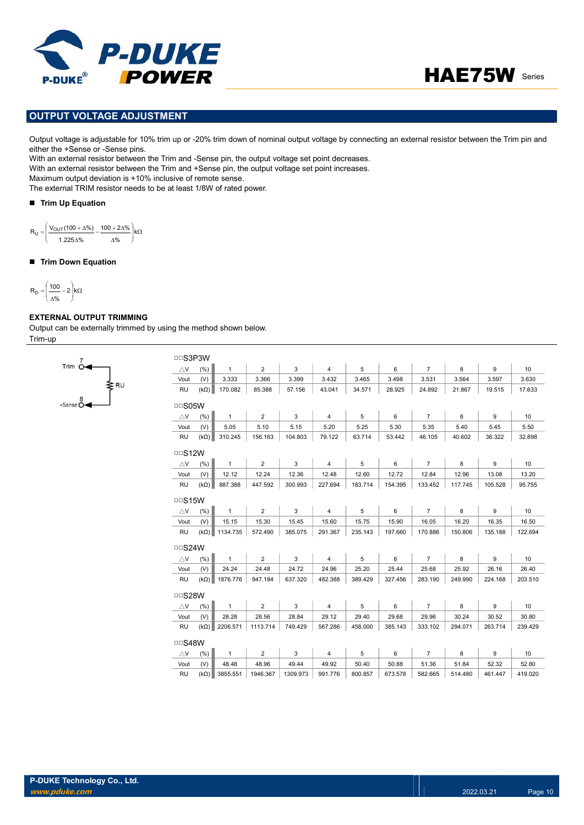



# OUTPUT VOLTAGE ADJUSTMENT

Output voltage is adjustable for 10% trim up or -20% trim down of nominal output voltage by connecting an external resistor between the Trim pin and either the +Sense or -Sense pins.

With an external resistor between the Trim and -Sense pin, the output voltage set point decreases.

With an external resistor between the Trim and +Sense pin, the output voltage set point increases.

Maximum output deviation is +10% inclusive of remote sense.

The external TRIM resistor needs to be at least 1/8W of rated power.

### ■ Trim Up Equation

 $\kappa$ J Ι I L ſ Δ,  $-\frac{100+2{\Delta}^6}{2}$ Δ,  $=\frac{V_{\text{OUT}}(100 + \Delta\%)}{V_{\text{OUT}}(100 + \Delta\%)} - \frac{100 + 2\Delta\%}{V_{\text{NU}}}$ %  $100 + 2 \Delta \%$ 1.225 %  $R_{\rm U} = \frac{V_{\rm OUT}(100 + \Delta\%)}{V_{\rm OUT}(100 + \Delta\%)}$  $R_U =$ 

#### ■ Trim Down Equation

$$
R_D=\!\left(\frac{100}{\Delta\%}\!-\!2\right)\!\!k\Omega
$$

# EXTERNAL OUTPUT TRIMMING

∫<br>≹r∪

Trim  $\overline{O}$ 

Output can be externally trimmed by using the method shown below. Trim-up

| <b>DDS3P3W</b> |             |              |                |         |                |         |         |                |         |         |                 |
|----------------|-------------|--------------|----------------|---------|----------------|---------|---------|----------------|---------|---------|-----------------|
| $\triangle$ V  | (% )        | $\mathbf{1}$ | $\overline{2}$ | 3       | $\overline{4}$ | 5       | 6       | $\overline{7}$ | 8       | 9       | 10              |
| Vout           | (V)         | 3.333        | 3.366          | 3.399   | 3.432          | 3.465   | 3.498   | 3.531          | 3.564   | 3.597   | 3.630           |
| <b>RU</b>      | $(k\Omega)$ | 170.082      | 85.388         | 57.156  | 43.041         | 34.571  | 28.925  | 24.892         | 21.867  | 19.515  | 17.633          |
| □□S05W         |             |              |                |         |                |         |         |                |         |         |                 |
| $\triangle$ V  | (% )        | $\mathbf{1}$ | $\overline{2}$ | 3       | $\overline{4}$ | 5       | 6       | $\overline{7}$ | 8       | 9       | 10              |
| Vout           | (V)         | 5.05         | 5.10           | 5.15    | 5.20           | 5.25    | 5.30    | 5.35           | 5.40    | 5.45    | 5.50            |
| <b>RU</b>      | $(k\Omega)$ | 310.245      | 156.163        | 104.803 | 79.122         | 63.714  | 53.442  | 46.105         | 40.602  | 36.322  | 32.898          |
| $\Box$ S12W    |             |              |                |         |                |         |         |                |         |         |                 |
| $\triangle$ V  | (% )        | $\mathbf{1}$ | $\overline{2}$ | 3       | $\overline{4}$ | 5       | 6       | $\overline{7}$ | 8       | 9       | 10 <sup>1</sup> |
| Vout           | (V)         | 12.12        | 12.24          | 12.36   | 12.48          | 12.60   | 12.72   | 12.84          | 12.96   | 13.08   | 13.20           |
| <b>RU</b>      | $(k\Omega)$ | 887.388      | 447.592        | 300.993 | 227.694        | 183.714 | 154.395 | 133.452        | 117.745 | 105.528 | 95.755          |
| $\Box$ S15W    |             |              |                |         |                |         |         |                |         |         |                 |
| $\triangle$ V  | (% )        | $\mathbf{1}$ | $\overline{2}$ | 3       | $\overline{4}$ | 5       | 6       | $\overline{7}$ | 8       | 9       | 10              |
| Vout           | (V)         | 15.15        | 15.30          | 15.45   | 15.60          | 15.75   | 15.90   | 16.05          | 16.20   | 16.35   | 16.50           |
| <b>RU</b>      | $(k\Omega)$ | 1134.735     | 572.490        | 385.075 | 291.367        | 235.143 | 197.660 | 170.886        | 150.806 | 135.188 | 122.694         |
| $\Box$ S24W    |             |              |                |         |                |         |         |                |         |         |                 |
| $\triangle$ V  | (% )        | $\mathbf{1}$ | $\overline{2}$ | 3       | $\overline{4}$ | 5       | 6       | $\overline{7}$ | 8       | 9       | 10 <sup>1</sup> |
| Vout           | (V)         | 24.24        | 24.48          | 24.72   | 24.96          | 25.20   | 25.44   | 25.68          | 25.92   | 26.16   | 26.40           |
| <b>RU</b>      | $(k\Omega)$ | 1876.776     | 947.184        | 637.320 | 482.388        | 389.429 | 327.456 | 283.190        | 249.990 | 224.168 | 203.510         |
| □□S28W         |             |              |                |         |                |         |         |                |         |         |                 |
| $\triangle$ V  | (% )        | $\mathbf{1}$ | 2              | 3       | 4              | 5       | 6       | $\overline{7}$ | 8       | 9       | 10              |
| Vout           | (V)         | 28.28        | 28.56          | 28.84   | 29.12          | 29.40   | 29.68   | 29.96          | 30.24   | 30.52   | 30.80           |
| <b>RU</b>      | $(k\Omega)$ | 2206.571     | 1113.714       | 749.429 | 567.286        | 458.000 | 385.143 | 333.102        | 294.071 | 263.714 | 239.429         |
|                |             |              |                |         |                |         |         |                |         |         |                 |
| □□S48W         |             |              |                |         |                |         |         |                |         |         |                 |
| $\triangle$ V  | (% )        | 1            | $\overline{c}$ | 3       | $\overline{4}$ | 5       | 6       | $\overline{7}$ | 8       | 9       |                 |
| Vout           | (V)         | 48.48        | 48.96          | 49.44   | 49.92          | 50.40   | 50.88   | 51.36          | 51.84   | 52.32   | 10<br>52.80     |